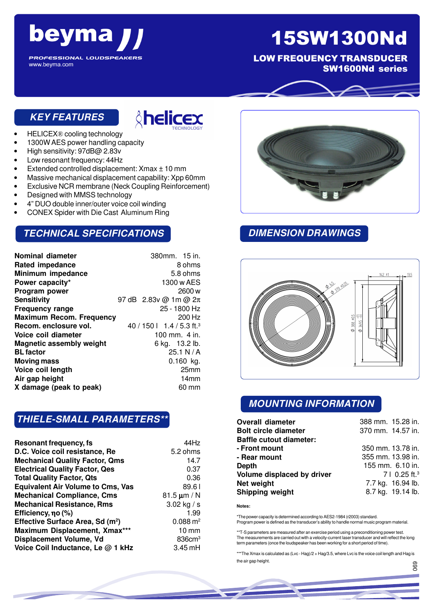# beyma

**PROFESSIONAL LOUDSPEAKERS** 

## 15SW1300Nd

LOW FREQUENCY TRANSDUCER SW1600Nd series

#### **KEY FEATURES**

www.beyma.com



- HELICEX® cooling technology
- 1300W AES power handling capacity
- High sensitivity: 97dB@ 2.83v
- Low resonant frequency: 44Hz
- Extended controlled displacement: Xmax ± 10 mm
- Massive mechanical displacement capability: Xpp 60mm
- Exclusive NCR membrane (Neck Coupling Reinforcement)
- Designed with MMSS technology
- 4" DUO double inner/outer voice coil winding
- CONEX Spider with Die Cast Aluminum Ring

#### **TECHNICAL SPECIFICATIONS**

|                                 | 380mm. 15 in.  |                                                                |
|---------------------------------|----------------|----------------------------------------------------------------|
|                                 |                | 8 ohms                                                         |
|                                 |                | 5.8 ohms                                                       |
|                                 | 1300 w AES     |                                                                |
|                                 |                | 2600 w                                                         |
|                                 |                |                                                                |
|                                 | 25 - 1800 Hz   |                                                                |
| <b>Maximum Recom. Frequency</b> |                | 200 Hz                                                         |
|                                 |                |                                                                |
|                                 | 100 mm. 4 in.  |                                                                |
|                                 | 6 kg. 13.2 lb. |                                                                |
|                                 |                | 25.1 N/A                                                       |
|                                 |                | $0.160$ kg.                                                    |
|                                 |                | 25mm                                                           |
|                                 |                | 14 <sub>mm</sub>                                               |
|                                 |                | 60 mm                                                          |
|                                 |                | 97 dB 2.83v @ 1m @ 2π<br>40 / 150   1.4 / 5.3 ft. <sup>3</sup> |

#### **THIELE-SMALL PARAMETERS\*\***

| <b>Resonant frequency, fs</b>                | 44Hz                |
|----------------------------------------------|---------------------|
| D.C. Voice coil resistance, Re               | 5.2 ohms            |
| <b>Mechanical Quality Factor, Qms</b>        | 14.7                |
| <b>Electrical Quality Factor, Qes</b>        | 0.37                |
| <b>Total Quality Factor, Qts</b>             | 0.36                |
| <b>Equivalent Air Volume to Cms, Vas</b>     | 89.61               |
| <b>Mechanical Compliance, Cms</b>            | 81.5 $\mu$ m / N    |
| <b>Mechanical Resistance, Rms</b>            | 3.02 kg / s         |
| Efficiency, no (%)                           | 1.99                |
| Effective Surface Area, Sd (m <sup>2</sup> ) | $0.088 \text{ m}^2$ |
| Maximum Displacement, Xmax***                | $10 \text{ mm}$     |
| Displacement Volume, Vd                      | 836cm <sup>3</sup>  |
| Voice Coil Inductance, Le @ 1 kHz            | $3.45$ mH           |



#### **DIMENSION DRAWINGS**



#### **MOUNTING INFORMATION**

| <b>Overall diameter</b>        | 388 mm. 15.28 in.         |
|--------------------------------|---------------------------|
| <b>Bolt circle diameter</b>    | 370 mm. 14.57 in.         |
| <b>Baffle cutout diameter:</b> |                           |
| - Front mount                  | 350 mm. 13.78 in.         |
| - Rear mount                   | 355 mm. 13.98 in.         |
| Depth                          | 155 mm. 6.10 in.          |
| Volume displaced by driver     | 7   0.25 ft. <sup>3</sup> |
| Net weight                     | 7.7 kg. 16.94 lb.         |
| Shipping weight                | 8.7 kg. 19.14 lb.         |

**Notes:**

\*The power capacity is determined according to AES2-1984 (r2003) standard. Program power is defined as the transducer's ability to handle normal music program material.

\*\*T-S parameters are measured after an exercise period using a preconditioning power test. The measurements are carried out with a velocity-current laser transducer and will reflect the long term parameters (once the loudspeaker has been working for a short period of time).

\*\*\*The Xmax is calculated as (Lvc - Hag)/2 + Hag/3.5, where Lvc is the voice coil length and Hag is the air gap height. 069

056